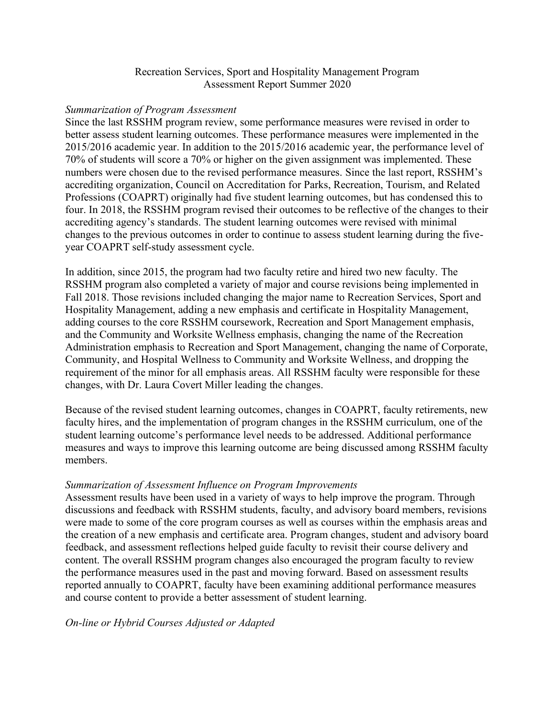# Recreation Services, Sport and Hospitality Management Program Assessment Report Summer 2020

### *Summarization of Program Assessment*

Since the last RSSHM program review, some performance measures were revised in order to better assess student learning outcomes. These performance measures were implemented in the 2015/2016 academic year. In addition to the 2015/2016 academic year, the performance level of 70% of students will score a 70% or higher on the given assignment was implemented. These numbers were chosen due to the revised performance measures. Since the last report, RSSHM's accrediting organization, Council on Accreditation for Parks, Recreation, Tourism, and Related Professions (COAPRT) originally had five student learning outcomes, but has condensed this to four. In 2018, the RSSHM program revised their outcomes to be reflective of the changes to their accrediting agency's standards. The student learning outcomes were revised with minimal changes to the previous outcomes in order to continue to assess student learning during the fiveyear COAPRT self-study assessment cycle.

In addition, since 2015, the program had two faculty retire and hired two new faculty. The RSSHM program also completed a variety of major and course revisions being implemented in Fall 2018. Those revisions included changing the major name to Recreation Services, Sport and Hospitality Management, adding a new emphasis and certificate in Hospitality Management, adding courses to the core RSSHM coursework, Recreation and Sport Management emphasis, and the Community and Worksite Wellness emphasis, changing the name of the Recreation Administration emphasis to Recreation and Sport Management, changing the name of Corporate, Community, and Hospital Wellness to Community and Worksite Wellness, and dropping the requirement of the minor for all emphasis areas. All RSSHM faculty were responsible for these changes, with Dr. Laura Covert Miller leading the changes.

Because of the revised student learning outcomes, changes in COAPRT, faculty retirements, new faculty hires, and the implementation of program changes in the RSSHM curriculum, one of the student learning outcome's performance level needs to be addressed. Additional performance measures and ways to improve this learning outcome are being discussed among RSSHM faculty members.

# *Summarization of Assessment Influence on Program Improvements*

Assessment results have been used in a variety of ways to help improve the program. Through discussions and feedback with RSSHM students, faculty, and advisory board members, revisions were made to some of the core program courses as well as courses within the emphasis areas and the creation of a new emphasis and certificate area. Program changes, student and advisory board feedback, and assessment reflections helped guide faculty to revisit their course delivery and content. The overall RSSHM program changes also encouraged the program faculty to review the performance measures used in the past and moving forward. Based on assessment results reported annually to COAPRT, faculty have been examining additional performance measures and course content to provide a better assessment of student learning.

# *On-line or Hybrid Courses Adjusted or Adapted*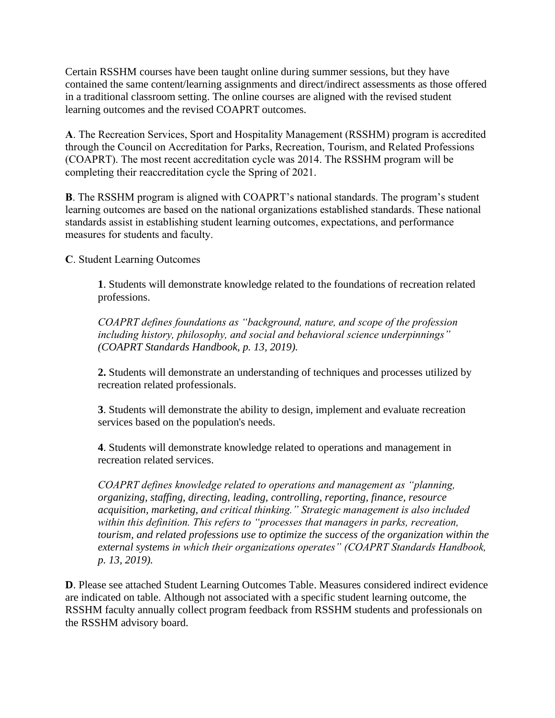Certain RSSHM courses have been taught online during summer sessions, but they have contained the same content/learning assignments and direct/indirect assessments as those offered in a traditional classroom setting. The online courses are aligned with the revised student learning outcomes and the revised COAPRT outcomes.

**A**. The Recreation Services, Sport and Hospitality Management (RSSHM) program is accredited through the Council on Accreditation for Parks, Recreation, Tourism, and Related Professions (COAPRT). The most recent accreditation cycle was 2014. The RSSHM program will be completing their reaccreditation cycle the Spring of 2021.

**B**. The RSSHM program is aligned with COAPRT's national standards. The program's student learning outcomes are based on the national organizations established standards. These national standards assist in establishing student learning outcomes, expectations, and performance measures for students and faculty.

**C**. Student Learning Outcomes

**1**. Students will demonstrate knowledge related to the foundations of recreation related professions.

*COAPRT defines foundations as "background, nature, and scope of the profession including history, philosophy, and social and behavioral science underpinnings" (COAPRT Standards Handbook, p. 13, 2019).*

**2.** Students will demonstrate an understanding of techniques and processes utilized by recreation related professionals.

**3**. Students will demonstrate the ability to design, implement and evaluate recreation services based on the population's needs.

**4**. Students will demonstrate knowledge related to operations and management in recreation related services.

*COAPRT defines knowledge related to operations and management as "planning, organizing, staffing, directing, leading, controlling, reporting, finance, resource acquisition, marketing, and critical thinking." Strategic management is also included within this definition. This refers to "processes that managers in parks, recreation, tourism, and related professions use to optimize the success of the organization within the external systems in which their organizations operates" (COAPRT Standards Handbook, p. 13, 2019).*

**D**. Please see attached Student Learning Outcomes Table. Measures considered indirect evidence are indicated on table. Although not associated with a specific student learning outcome, the RSSHM faculty annually collect program feedback from RSSHM students and professionals on the RSSHM advisory board.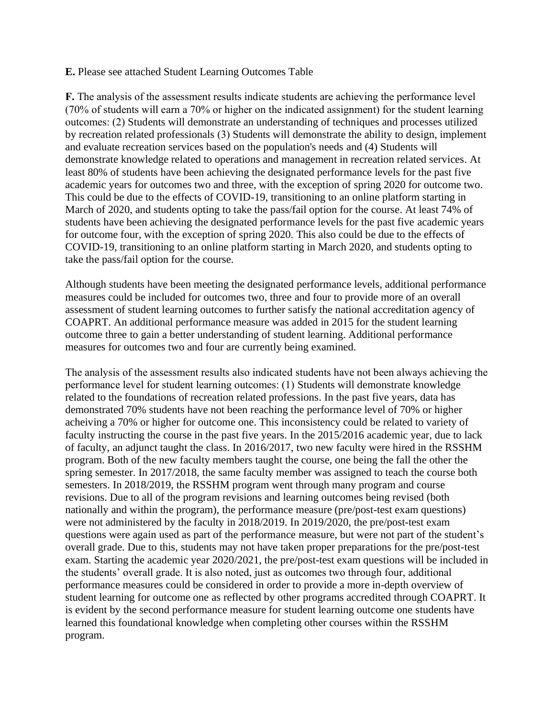### **E.** Please see attached Student Learning Outcomes Table

**F.** The analysis of the assessment results indicate students are achieving the performance level (70% of students will earn a 70% or higher on the indicated assignment) for the student learning outcomes: (2) Students will demonstrate an understanding of techniques and processes utilized by recreation related professionals (3) Students will demonstrate the ability to design, implement and evaluate recreation services based on the population's needs and (4) Students will demonstrate knowledge related to operations and management in recreation related services. At least 80% of students have been achieving the designated performance levels for the past five academic years for outcomes two and three, with the exception of spring 2020 for outcome two. This could be due to the effects of COVID-19, transitioning to an online platform starting in March of 2020, and students opting to take the pass/fail option for the course. At least 74% of students have been achieving the designated performance levels for the past five academic years for outcome four, with the exception of spring 2020. This also could be due to the effects of COVID-19, transitioning to an online platform starting in March 2020, and students opting to take the pass/fail option for the course.

Although students have been meeting the designated performance levels, additional performance measures could be included for outcomes two, three and four to provide more of an overall assessment of student learning outcomes to further satisfy the national accreditation agency of COAPRT. An additional performance measure was added in 2015 for the student learning outcome three to gain a better understanding of student learning. Additional performance measures for outcomes two and four are currently being examined.

The analysis of the assessment results also indicated students have not been always achieving the performance level for student learning outcomes: (1) Students will demonstrate knowledge related to the foundations of recreation related professions. In the past five years, data has demonstrated 70% students have not been reaching the performance level of 70% or higher acheiving a 70% or higher for outcome one. This inconsistency could be related to variety of faculty instructing the course in the past five years. In the 2015/2016 academic year, due to lack of faculty, an adjunct taught the class. In 2016/2017, two new faculty were hired in the RSSHM program. Both of the new faculty members taught the course, one being the fall the other the spring semester. In 2017/2018, the same faculty member was assigned to teach the course both semesters. In 2018/2019, the RSSHM program went through many program and course revisions. Due to all of the program revisions and learning outcomes being revised (both nationally and within the program), the performance measure (pre/post-test exam questions) were not administered by the faculty in 2018/2019. In 2019/2020, the pre/post-test exam questions were again used as part of the performance measure, but were not part of the student's overall grade. Due to this, students may not have taken proper preparations for the pre/post-test exam. Starting the academic year 2020/2021, the pre/post-test exam questions will be included in the students' overall grade. It is also noted, just as outcomes two through four, additional performance measures could be considered in order to provide a more in-depth overview of student learning for outcome one as reflected by other programs accredited through COAPRT. It is evident by the second performance measure for student learning outcome one students have learned this foundational knowledge when completing other courses within the RSSHM program.